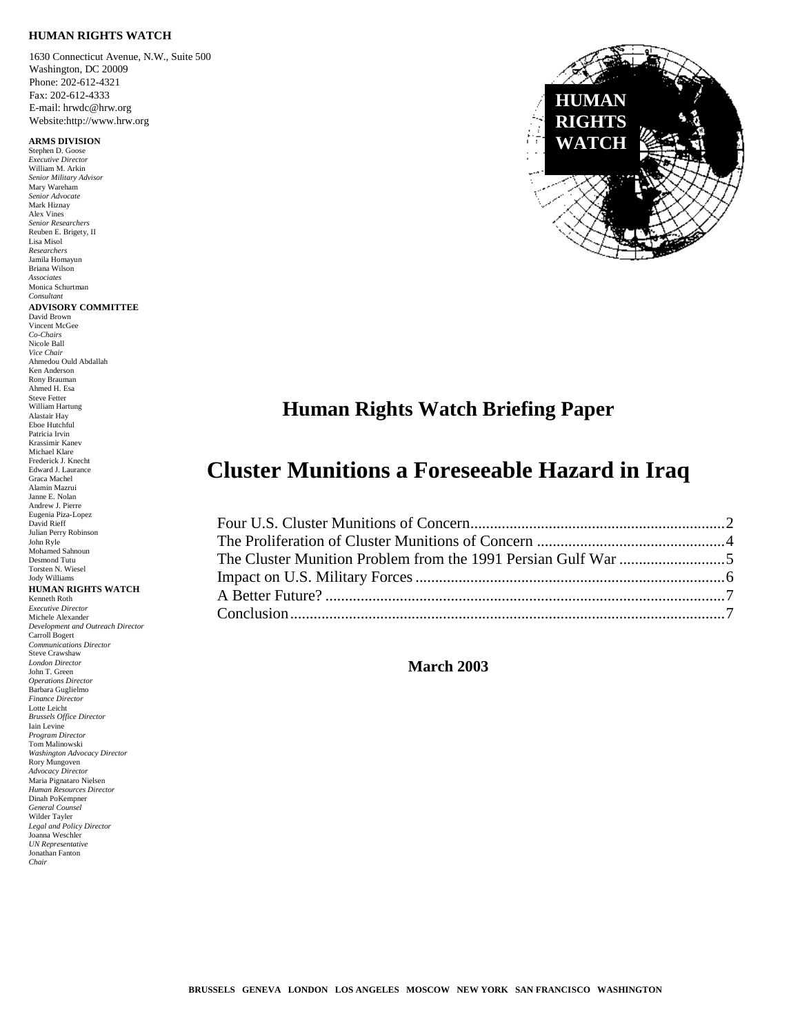#### **HUMAN RIGHTS WATCH**

1630 Connecticut Avenue, N.W., Suite 500 Washington, DC 20009 Phone: 202-612-4321 Fax: 202-612-4333 E-mail: hrwdc@hrw.org Website:http://www.hrw.org

## **ARMS DIVISION**

*Executive Director* William M. Arkin *Senior Military Advisor* Mary Wareham *Senior Advocate* Mark Hiznay Alex Vines *Senior Researchers* Reuben E. Brigety, II Lisa Misol *Researchers* Jamila Homayun Briana Wilson *Associates* Monica Schurtman *Consultant* **ADVISORY COMMITTEE** David Brown Vincent McGee *Co-Chairs*  Nicole Ball *Vice Chair*  Ahmedou Ould Abdallah Ken Anderson Rony Brauman Ahmed H. Esa Steve Fetter William Hartung Alastair Hay Eboe Hutchful Patricia Irvin Krassimir Kanev Michael Klare Frederick J. Knecht Edward J. Laurance Graca Machel Alamin Mazrui Janne E. Nolan Andrew J. Pierre Eugenia Piza-Lopez David Rieff Julian Perry Robinson John Ryle Mohamed Sahnoun Desmond Tutu Torsten N. Wiesel Jody Williams **HUMAN RIGHTS WATCH** Kenneth Roth *Executive Director* Michele Alexander *Development and Outreach Director* Carroll Bogert *Communications Director* Steve Crawshaw *London Director* John T. Green *Operations Director* Barbara Guglielmo *Finance Director* Lotte Leicht *Brussels Office Director* Iain Levine *Program Director* Tom Malinowski *Washington Advocacy Director* Rory Mungoven *Advocacy Director* Maria Pignataro Nielsen *Human Resources Director* Dinah PoKempner *General Counsel* Wilder Tayler *Legal and Policy Director* Joanna Weschler *UN Representative* Jonathan Fanton *Chair*



## **Human Rights Watch Briefing Paper**

# **Cluster Munitions a Foreseeable Hazard in Iraq**

**March 2003**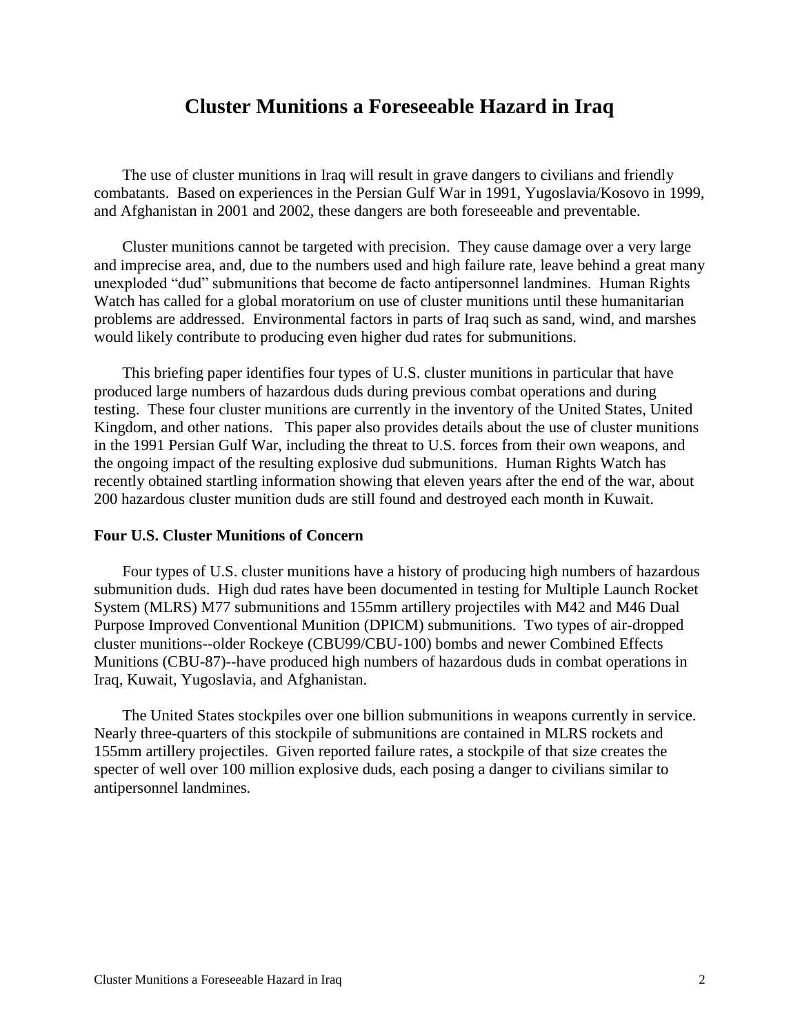## **Cluster Munitions a Foreseeable Hazard in Iraq**

The use of cluster munitions in Iraq will result in grave dangers to civilians and friendly combatants. Based on experiences in the Persian Gulf War in 1991, Yugoslavia/Kosovo in 1999, and Afghanistan in 2001 and 2002, these dangers are both foreseeable and preventable.

Cluster munitions cannot be targeted with precision. They cause damage over a very large and imprecise area, and, due to the numbers used and high failure rate, leave behind a great many unexploded "dud" submunitions that become de facto antipersonnel landmines. Human Rights Watch has called for a global moratorium on use of cluster munitions until these humanitarian problems are addressed. Environmental factors in parts of Iraq such as sand, wind, and marshes would likely contribute to producing even higher dud rates for submunitions.

This briefing paper identifies four types of U.S. cluster munitions in particular that have produced large numbers of hazardous duds during previous combat operations and during testing. These four cluster munitions are currently in the inventory of the United States, United Kingdom, and other nations. This paper also provides details about the use of cluster munitions in the 1991 Persian Gulf War, including the threat to U.S. forces from their own weapons, and the ongoing impact of the resulting explosive dud submunitions. Human Rights Watch has recently obtained startling information showing that eleven years after the end of the war, about 200 hazardous cluster munition duds are still found and destroyed each month in Kuwait.

#### <span id="page-1-0"></span>**Four U.S. Cluster Munitions of Concern**

Four types of U.S. cluster munitions have a history of producing high numbers of hazardous submunition duds. High dud rates have been documented in testing for Multiple Launch Rocket System (MLRS) M77 submunitions and 155mm artillery projectiles with M42 and M46 Dual Purpose Improved Conventional Munition (DPICM) submunitions. Two types of air-dropped cluster munitions--older Rockeye (CBU99/CBU-100) bombs and newer Combined Effects Munitions (CBU-87)--have produced high numbers of hazardous duds in combat operations in Iraq, Kuwait, Yugoslavia, and Afghanistan.

The United States stockpiles over one billion submunitions in weapons currently in service. Nearly three-quarters of this stockpile of submunitions are contained in MLRS rockets and 155mm artillery projectiles. Given reported failure rates, a stockpile of that size creates the specter of well over 100 million explosive duds, each posing a danger to civilians similar to antipersonnel landmines.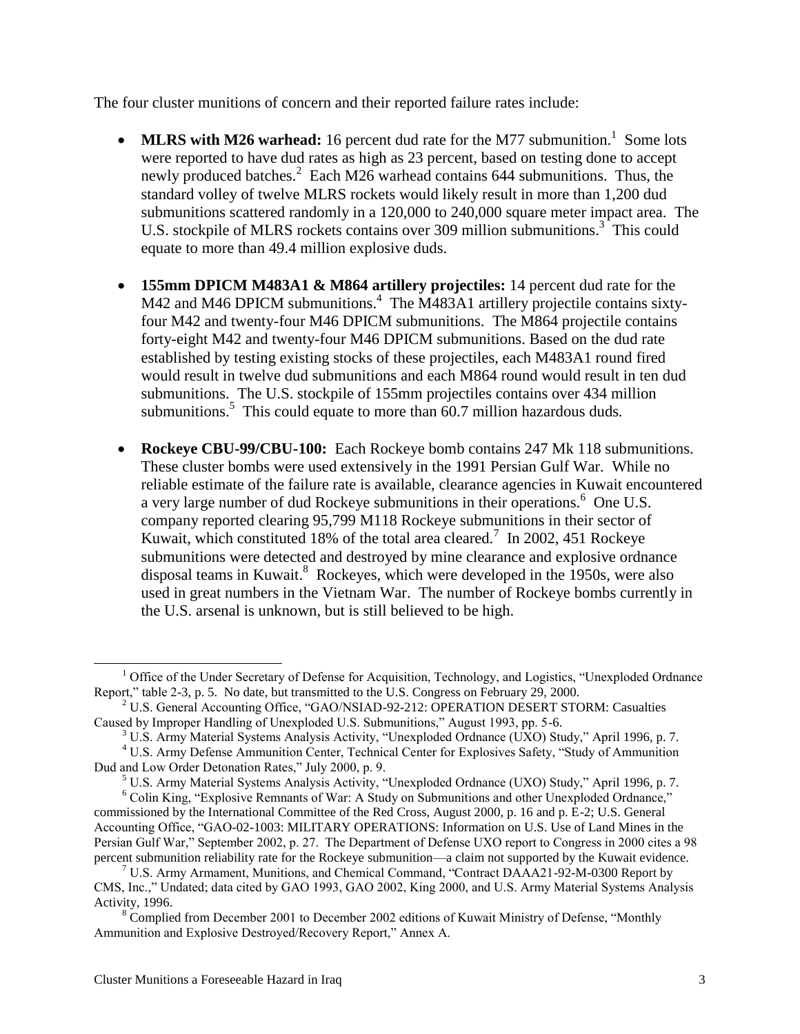The four cluster munitions of concern and their reported failure rates include:

- **MLRS with M26 warhead:** 16 percent dud rate for the M77 submunition.<sup>1</sup> Some lots were reported to have dud rates as high as 23 percent, based on testing done to accept newly produced batches.<sup>2</sup> Each M26 warhead contains 644 submunitions. Thus, the standard volley of twelve MLRS rockets would likely result in more than 1,200 dud submunitions scattered randomly in a 120,000 to 240,000 square meter impact area. The U.S. stockpile of MLRS rockets contains over 309 million submunitions.<sup>3</sup> This could equate to more than 49.4 million explosive duds.
- **155mm DPICM M483A1 & M864 artillery projectiles:** 14 percent dud rate for the M42 and M46 DPICM submunitions.<sup>4</sup> The M483A1 artillery projectile contains sixtyfour M42 and twenty-four M46 DPICM submunitions. The M864 projectile contains forty-eight M42 and twenty-four M46 DPICM submunitions. Based on the dud rate established by testing existing stocks of these projectiles, each M483A1 round fired would result in twelve dud submunitions and each M864 round would result in ten dud submunitions. The U.S. stockpile of 155mm projectiles contains over 434 million submunitions.<sup>5</sup> This could equate to more than  $60.7$  million hazardous duds.
- **Rockeye CBU-99/CBU-100:** Each Rockeye bomb contains 247 Mk 118 submunitions. These cluster bombs were used extensively in the 1991 Persian Gulf War. While no reliable estimate of the failure rate is available, clearance agencies in Kuwait encountered a very large number of dud Rockeye submunitions in their operations.<sup>6</sup> One U.S. company reported clearing 95,799 M118 Rockeye submunitions in their sector of Kuwait, which constituted 18% of the total area cleared.<sup>7</sup> In 2002, 451 Rockeye submunitions were detected and destroyed by mine clearance and explosive ordnance disposal teams in Kuwait.<sup>8</sup> Rockeyes, which were developed in the 1950s, were also used in great numbers in the Vietnam War. The number of Rockeye bombs currently in the U.S. arsenal is unknown, but is still believed to be high.

 $\overline{a}$ 

 $1$  Office of the Under Secretary of Defense for Acquisition, Technology, and Logistics, "Unexploded Ordnance" Report," table 2-3, p. 5. No date, but transmitted to the U.S. Congress on February 29, 2000.

 $2^2$  U.S. General Accounting Office, "GAO/NSIAD-92-212: OPERATION DESERT STORM: Casualties Caused by Improper Handling of Unexploded U.S. Submunitions," August 1993, pp. 5-6.

<sup>&</sup>lt;sup>3</sup> U.S. Army Material Systems Analysis Activity, "Unexploded Ordnance (UXO) Study," April 1996, p. 7.

<sup>&</sup>lt;sup>4</sup> U.S. Army Defense Ammunition Center, Technical Center for Explosives Safety, "Study of Ammunition Dud and Low Order Detonation Rates," July 2000, p. 9.

 $<sup>5</sup>$  U.S. Army Material Systems Analysis Activity, "Unexploded Ordnance (UXO) Study," April 1996, p. 7.</sup>

<sup>&</sup>lt;sup>6</sup> Colin King, "Explosive Remnants of War: A Study on Submunitions and other Unexploded Ordnance," commissioned by the International Committee of the Red Cross, August 2000, p. 16 and p. E-2; U.S. General Accounting Office, "GAO-02-1003: MILITARY OPERATIONS: Information on U.S. Use of Land Mines in the Persian Gulf War," September 2002, p. 27. The Department of Defense UXO report to Congress in 2000 cites a 98 percent submunition reliability rate for the Rockeye submunition—a claim not supported by the Kuwait evidence.

<sup>&</sup>lt;sup>7</sup> U.S. Army Armament, Munitions, and Chemical Command, "Contract DAAA21-92-M-0300 Report by CMS, Inc.," Undated; data cited by GAO 1993, GAO 2002, King 2000, and U.S. Army Material Systems Analysis Activity, 1996.

 $8 \text{ Complied from December 2001 to December 2002 editions of Kuwait, and This is of Defense, "Monthly"$ Ammunition and Explosive Destroyed/Recovery Report," Annex A.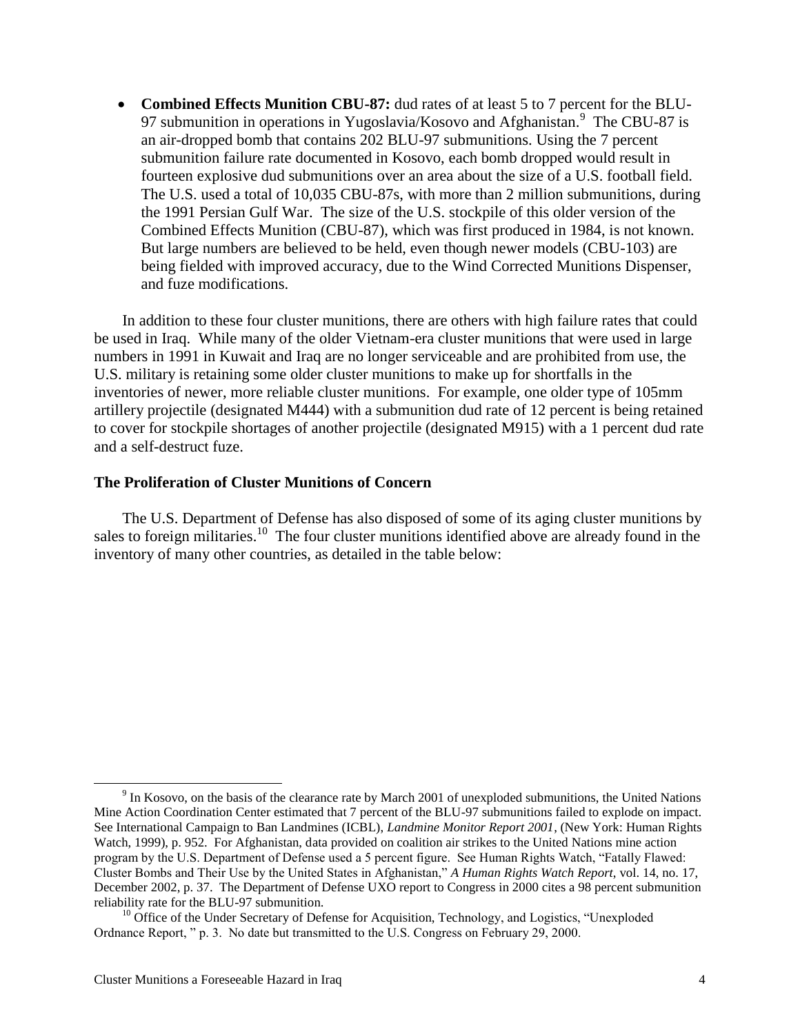**Combined Effects Munition CBU-87:** dud rates of at least 5 to 7 percent for the BLU-97 submunition in operations in Yugoslavia/Kosovo and Afghanistan.  $9$  The CBU-87 is an air-dropped bomb that contains 202 BLU-97 submunitions. Using the 7 percent submunition failure rate documented in Kosovo, each bomb dropped would result in fourteen explosive dud submunitions over an area about the size of a U.S. football field. The U.S. used a total of 10,035 CBU-87s, with more than 2 million submunitions, during the 1991 Persian Gulf War. The size of the U.S. stockpile of this older version of the Combined Effects Munition (CBU-87), which was first produced in 1984, is not known. But large numbers are believed to be held, even though newer models (CBU-103) are being fielded with improved accuracy, due to the Wind Corrected Munitions Dispenser, and fuze modifications.

In addition to these four cluster munitions, there are others with high failure rates that could be used in Iraq. While many of the older Vietnam-era cluster munitions that were used in large numbers in 1991 in Kuwait and Iraq are no longer serviceable and are prohibited from use, the U.S. military is retaining some older cluster munitions to make up for shortfalls in the inventories of newer, more reliable cluster munitions. For example, one older type of 105mm artillery projectile (designated M444) with a submunition dud rate of 12 percent is being retained to cover for stockpile shortages of another projectile (designated M915) with a 1 percent dud rate and a self-destruct fuze.

### <span id="page-3-0"></span>**The Proliferation of Cluster Munitions of Concern**

The U.S. Department of Defense has also disposed of some of its aging cluster munitions by sales to foreign militaries.<sup>10</sup> The four cluster munitions identified above are already found in the inventory of many other countries, as detailed in the table below:

 $\overline{\phantom{a}}$ 

<sup>&</sup>lt;sup>9</sup> In Kosovo, on the basis of the clearance rate by March 2001 of unexploded submunitions, the United Nations Mine Action Coordination Center estimated that 7 percent of the BLU-97 submunitions failed to explode on impact. See International Campaign to Ban Landmines (ICBL), *Landmine Monitor Report 2001*, (New York: Human Rights Watch, 1999), p. 952. For Afghanistan, data provided on coalition air strikes to the United Nations mine action program by the U.S. Department of Defense used a 5 percent figure. See Human Rights Watch, "Fatally Flawed: Cluster Bombs and Their Use by the United States in Afghanistan,‖ *A Human Rights Watch Report*, vol. 14, no. 17, December 2002, p. 37. The Department of Defense UXO report to Congress in 2000 cites a 98 percent submunition reliability rate for the BLU-97 submunition.

<sup>&</sup>lt;sup>10</sup> Office of the Under Secretary of Defense for Acquisition, Technology, and Logistics, "Unexploded Ordnance Report, "p. 3. No date but transmitted to the U.S. Congress on February 29, 2000.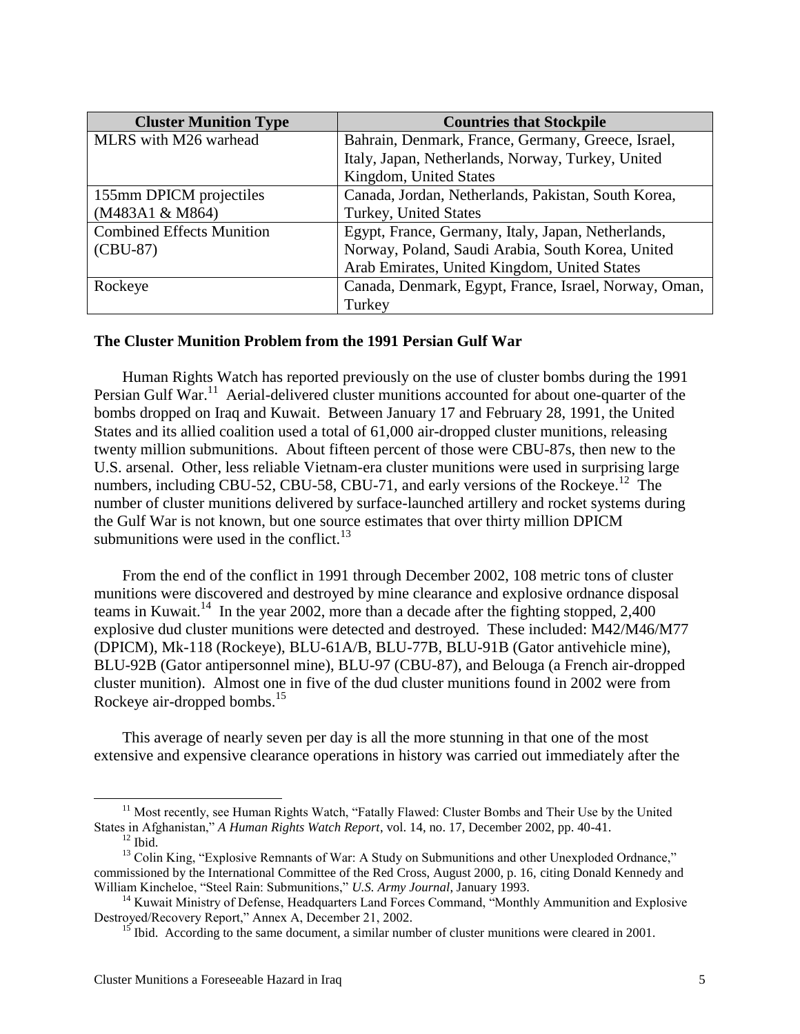| <b>Cluster Munition Type</b>     | <b>Countries that Stockpile</b>                       |  |  |
|----------------------------------|-------------------------------------------------------|--|--|
| MLRS with M26 warhead            | Bahrain, Denmark, France, Germany, Greece, Israel,    |  |  |
|                                  | Italy, Japan, Netherlands, Norway, Turkey, United     |  |  |
|                                  | Kingdom, United States                                |  |  |
| 155mm DPICM projectiles          | Canada, Jordan, Netherlands, Pakistan, South Korea,   |  |  |
| (M483A1 & M864)                  | <b>Turkey, United States</b>                          |  |  |
| <b>Combined Effects Munition</b> | Egypt, France, Germany, Italy, Japan, Netherlands,    |  |  |
| $(CBU-87)$                       | Norway, Poland, Saudi Arabia, South Korea, United     |  |  |
|                                  | Arab Emirates, United Kingdom, United States          |  |  |
| Rockeye                          | Canada, Denmark, Egypt, France, Israel, Norway, Oman, |  |  |
|                                  | Turkey                                                |  |  |

### <span id="page-4-0"></span>**The Cluster Munition Problem from the 1991 Persian Gulf War**

Human Rights Watch has reported previously on the use of cluster bombs during the 1991 Persian Gulf War.<sup>11</sup> Aerial-delivered cluster munitions accounted for about one-quarter of the bombs dropped on Iraq and Kuwait. Between January 17 and February 28, 1991, the United States and its allied coalition used a total of 61,000 air-dropped cluster munitions, releasing twenty million submunitions. About fifteen percent of those were CBU-87s, then new to the U.S. arsenal. Other, less reliable Vietnam-era cluster munitions were used in surprising large numbers, including CBU-52, CBU-58, CBU-71, and early versions of the Rockeye.<sup>12</sup> The number of cluster munitions delivered by surface-launched artillery and rocket systems during the Gulf War is not known, but one source estimates that over thirty million DPICM submunitions were used in the conflict.<sup>13</sup>

From the end of the conflict in 1991 through December 2002, 108 metric tons of cluster munitions were discovered and destroyed by mine clearance and explosive ordnance disposal teams in Kuwait.<sup>14</sup> In the year 2002, more than a decade after the fighting stopped, 2,400 explosive dud cluster munitions were detected and destroyed. These included: M42/M46/M77 (DPICM), Mk-118 (Rockeye), BLU-61A/B, BLU-77B, BLU-91B (Gator antivehicle mine), BLU-92B (Gator antipersonnel mine), BLU-97 (CBU-87), and Belouga (a French air-dropped cluster munition). Almost one in five of the dud cluster munitions found in 2002 were from Rockeye air-dropped bombs.<sup>15</sup>

This average of nearly seven per day is all the more stunning in that one of the most extensive and expensive clearance operations in history was carried out immediately after the

l

<sup>&</sup>lt;sup>11</sup> Most recently, see Human Rights Watch, "Fatally Flawed: Cluster Bombs and Their Use by the United States in Afghanistan," *A Human Rights Watch Report*, vol. 14, no. 17, December 2002, pp. 40-41.

 $12$  Ibid.

<sup>&</sup>lt;sup>13</sup> Colin King, "Explosive Remnants of War: A Study on Submunitions and other Unexploded Ordnance," commissioned by the International Committee of the Red Cross, August 2000, p. 16, citing Donald Kennedy and William Kincheloe, "Steel Rain: Submunitions," U.S. Army Journal, January 1993.

 $14$  Kuwait Ministry of Defense, Headquarters Land Forces Command, "Monthly Ammunition and Explosive Destroyed/Recovery Report," Annex A, December 21, 2002.

<sup>&</sup>lt;sup>15</sup> Ibid. According to the same document, a similar number of cluster munitions were cleared in 2001.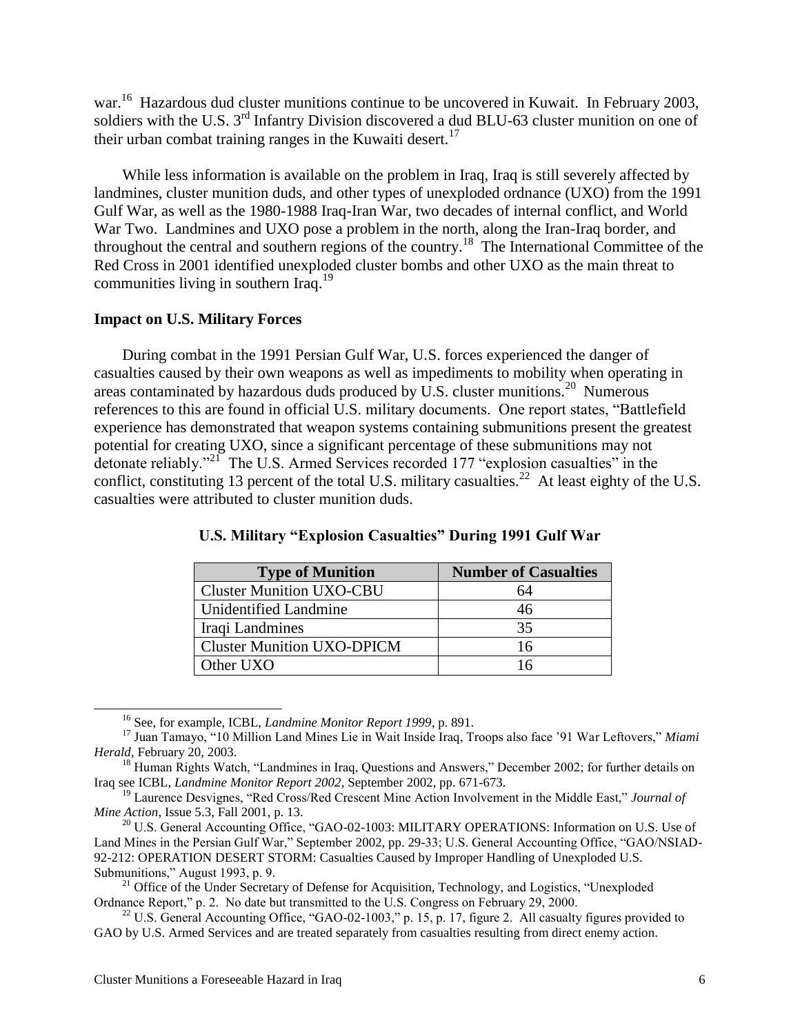war.<sup>16</sup> Hazardous dud cluster munitions continue to be uncovered in Kuwait. In February 2003, soldiers with the U.S. 3<sup>rd</sup> Infantry Division discovered a dud BLU-63 cluster munition on one of their urban combat training ranges in the Kuwaiti desert.<sup>17</sup>

While less information is available on the problem in Iraq, Iraq is still severely affected by landmines, cluster munition duds, and other types of unexploded ordnance (UXO) from the 1991 Gulf War, as well as the 1980-1988 Iraq-Iran War, two decades of internal conflict, and World War Two. Landmines and UXO pose a problem in the north, along the Iran-Iraq border, and throughout the central and southern regions of the country.<sup>18</sup> The International Committee of the Red Cross in 2001 identified unexploded cluster bombs and other UXO as the main threat to communities living in southern Iraq.<sup>19</sup>

### <span id="page-5-0"></span>**Impact on U.S. Military Forces**

During combat in the 1991 Persian Gulf War, U.S. forces experienced the danger of casualties caused by their own weapons as well as impediments to mobility when operating in areas contaminated by hazardous duds produced by U.S. cluster munitions.<sup>20</sup> Numerous references to this are found in official U.S. military documents. One report states, "Battlefield" experience has demonstrated that weapon systems containing submunitions present the greatest potential for creating UXO, since a significant percentage of these submunitions may not detonate reliably."<sup>21</sup> The U.S. Armed Services recorded 177 "explosion casualties" in the conflict, constituting 13 percent of the total U.S. military casualties.<sup>22</sup> At least eighty of the U.S. casualties were attributed to cluster munition duds.

| <b>Type of Munition</b>           | <b>Number of Casualties</b> |  |  |
|-----------------------------------|-----------------------------|--|--|
| <b>Cluster Munition UXO-CBU</b>   | 64                          |  |  |
| Unidentified Landmine             |                             |  |  |
| Iraqi Landmines                   | 35                          |  |  |
| <b>Cluster Munition UXO-DPICM</b> | 16                          |  |  |
| Other UXO                         | 16                          |  |  |

|  | U.S. Military "Explosion Casualties" During 1991 Gulf War |  |  |
|--|-----------------------------------------------------------|--|--|
|  |                                                           |  |  |

l

<sup>16</sup> See, for example, ICBL, *Landmine Monitor Report 1999*, p. 891.

<sup>&</sup>lt;sup>17</sup> Juan Tamayo, "10 Million Land Mines Lie in Wait Inside Iraq, Troops also face '91 War Leftovers," Miami *Herald*, February 20, 2003.

<sup>&</sup>lt;sup>18</sup> Human Rights Watch, "Landmines in Iraq, Questions and Answers," December 2002; for further details on Iraq see ICBL, *Landmine Monitor Report 2002*, September 2002, pp. 671-673.

<sup>&</sup>lt;sup>19</sup> Laurence Desvignes, "Red Cross/Red Crescent Mine Action Involvement in the Middle East," *Journal of Mine Action*, Issue 5.3, Fall 2001, p. 13.

<sup>&</sup>lt;sup>20</sup> U.S. General Accounting Office, "GAO-02-1003: MILITARY OPERATIONS: Information on U.S. Use of Land Mines in the Persian Gulf War," September 2002, pp. 29-33; U.S. General Accounting Office, "GAO/NSIAD-92-212: OPERATION DESERT STORM: Casualties Caused by Improper Handling of Unexploded U.S. Submunitions," August 1993, p. 9.

<sup>&</sup>lt;sup>21</sup> Office of the Under Secretary of Defense for Acquisition, Technology, and Logistics, "Unexploded Ordnance Report," p. 2. No date but transmitted to the U.S. Congress on February 29, 2000.

 $22$  U.S. General Accounting Office, "GAO-02-1003," p. 15, p. 17, figure 2. All casualty figures provided to GAO by U.S. Armed Services and are treated separately from casualties resulting from direct enemy action.